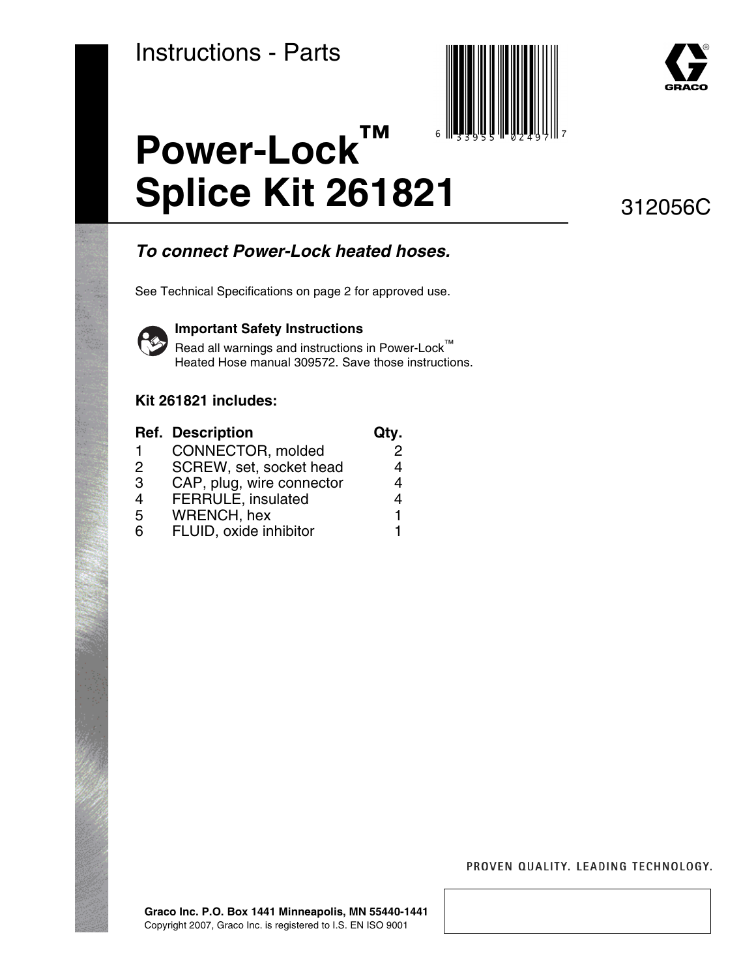



# **Power-Lock™ Splice Kit 261821**

312056C

## **To connect Power-Lock heated hoses.**

See Technical Specifications on page [2](#page-1-0) for approved use.



#### **Important Safety Instructions**

Read all warnings and instructions in Power-Lock™ Heated Hose manual 309572. Save those instructions.

### **Kit 261821 includes:**

|               | <b>Ref. Description</b>   | Qty. |
|---------------|---------------------------|------|
| 1             | CONNECTOR, molded         | 2    |
| $\mathcal{P}$ | SCREW, set, socket head   | 4    |
| 3             | CAP, plug, wire connector | 4    |
| 4             | <b>FERRULE, insulated</b> | 4    |
| 5             | WRENCH, hex               | 1    |
| Բ             | FLUID, oxide inhibitor    |      |

PROVEN QUALITY. LEADING TECHNOLOGY.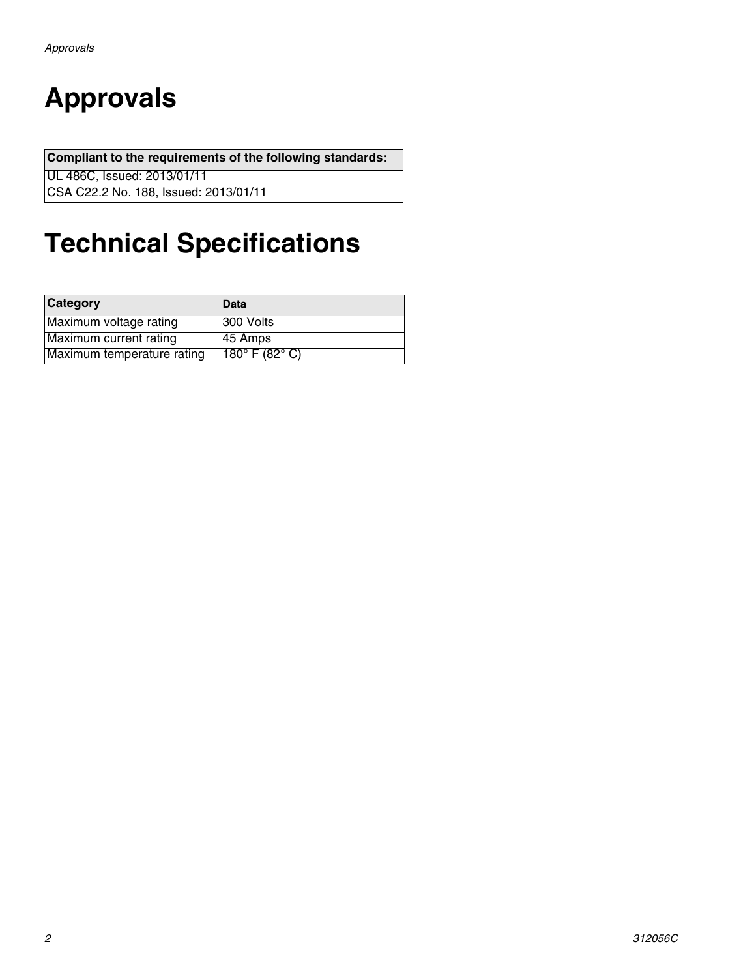# <span id="page-1-0"></span>**Approvals**

**Compliant to the requirements of the following standards:**

UL 486C, Issued: 2013/01/11

CSA C22.2 No. 188, Issued: 2013/01/11

# **Technical Specifications**

| Category                   | Data                               |
|----------------------------|------------------------------------|
| Maximum voltage rating     | 300 Volts                          |
| Maximum current rating     | 45 Amps                            |
| Maximum temperature rating | 180 $^{\circ}$ F (82 $^{\circ}$ C) |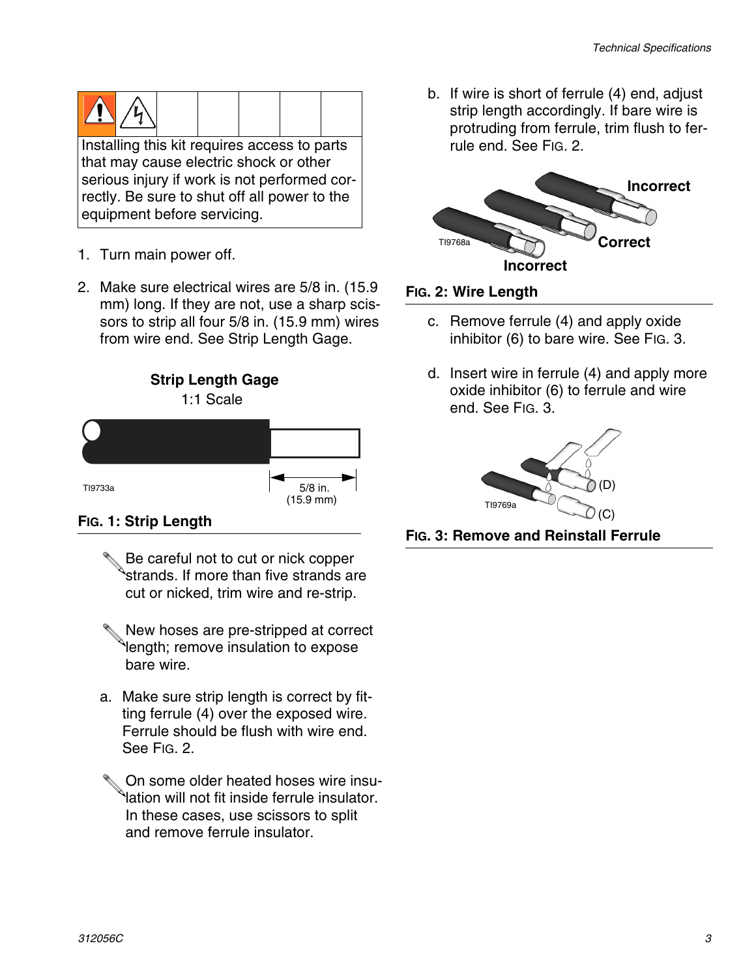

- 1. Turn main power off.
- 2. Make sure electrical wires are 5/8 in. (15.9 mm) long. If they are not, use a sharp scissors to strip all four 5/8 in. (15.9 mm) wires from wire end. See Strip Length Gage.



### **FIG. 1: Strip Length**

- Be careful not to cut or nick copper strands. If more than five strands are cut or nicked, trim wire and re-strip.
- New hoses are pre-stripped at correct length; remove insulation to expose bare wire.
- a. Make sure strip length is correct by fitting ferrule (4) over the exposed wire. Ferrule should be flush with wire end. See [FIG. 2](#page-2-0).
- On some older heated hoses wire insulation will not fit inside ferrule insulator. In these cases, use scissors to split and remove ferrule insulator.

b. If wire is short of ferrule (4) end, adjust strip length accordingly. If bare wire is protruding from ferrule, trim flush to ferrule end. See [FIG. 2.](#page-2-0)



### <span id="page-2-0"></span>**FIG. 2: Wire Length**

- c. Remove ferrule (4) and apply oxide inhibitor (6) to bare wire. See [FIG. 3.](#page-2-1)
- d. Insert wire in ferrule (4) and apply more oxide inhibitor (6) to ferrule and wire end. See [FIG. 3.](#page-2-1)



<span id="page-2-1"></span>**FIG. 3: Remove and Reinstall Ferrule**